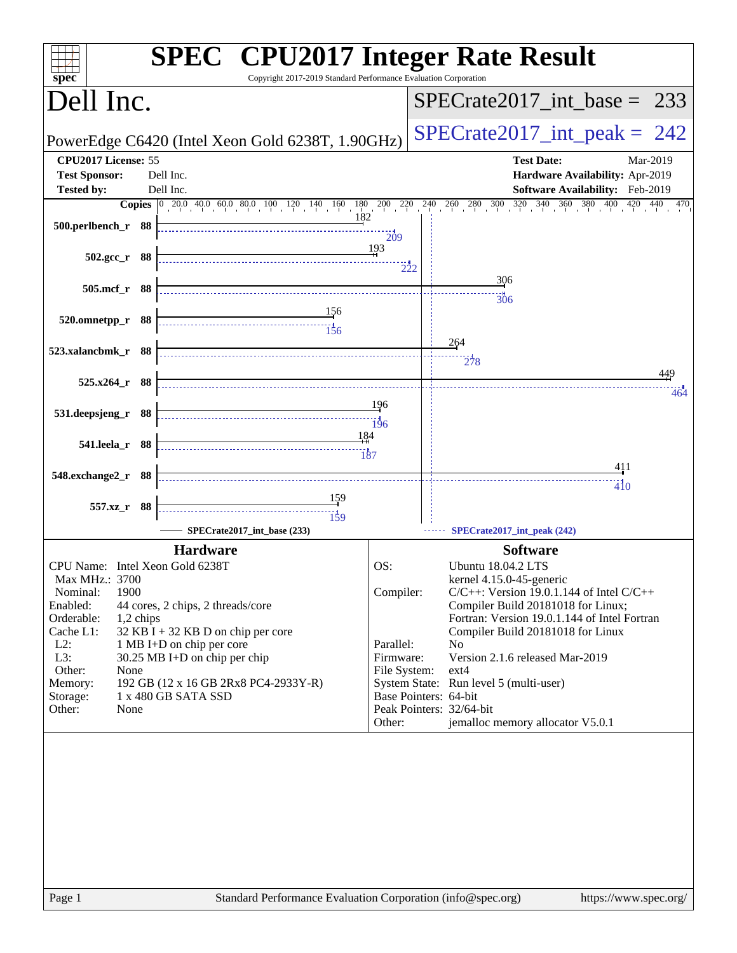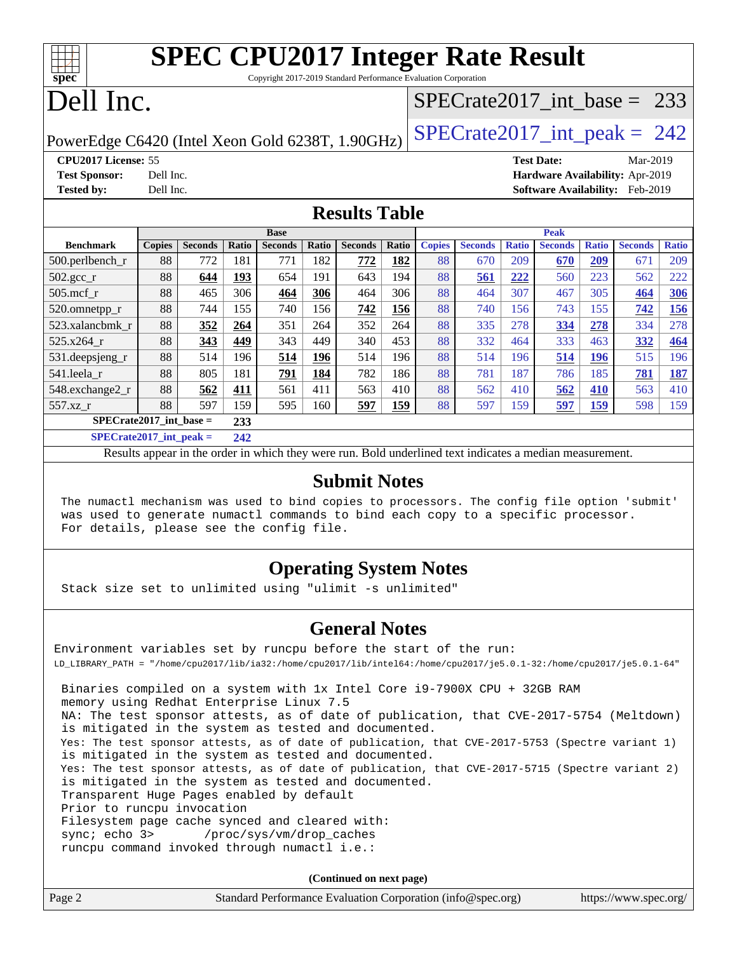Copyright 2017-2019 Standard Performance Evaluation Corporation

# Dell Inc.

**[spec](http://www.spec.org/)**

### [SPECrate2017\\_int\\_base =](http://www.spec.org/auto/cpu2017/Docs/result-fields.html#SPECrate2017intbase) 233

PowerEdge C6420 (Intel Xeon Gold 6238T, 1.90GHz)  $\left|$  [SPECrate2017\\_int\\_peak =](http://www.spec.org/auto/cpu2017/Docs/result-fields.html#SPECrate2017intpeak) 242

**[CPU2017 License:](http://www.spec.org/auto/cpu2017/Docs/result-fields.html#CPU2017License)** 55 **[Test Date:](http://www.spec.org/auto/cpu2017/Docs/result-fields.html#TestDate)** Mar-2019 **[Test Sponsor:](http://www.spec.org/auto/cpu2017/Docs/result-fields.html#TestSponsor)** Dell Inc. **[Hardware Availability:](http://www.spec.org/auto/cpu2017/Docs/result-fields.html#HardwareAvailability)** Apr-2019 **[Tested by:](http://www.spec.org/auto/cpu2017/Docs/result-fields.html#Testedby)** Dell Inc. **[Software Availability:](http://www.spec.org/auto/cpu2017/Docs/result-fields.html#SoftwareAvailability)** Feb-2019

#### **[Results Table](http://www.spec.org/auto/cpu2017/Docs/result-fields.html#ResultsTable)**

|                           | <b>Base</b>   |                |       |                | <b>Peak</b> |                |       |               |                |              |                |              |                |              |
|---------------------------|---------------|----------------|-------|----------------|-------------|----------------|-------|---------------|----------------|--------------|----------------|--------------|----------------|--------------|
| <b>Benchmark</b>          | <b>Copies</b> | <b>Seconds</b> | Ratio | <b>Seconds</b> | Ratio       | <b>Seconds</b> | Ratio | <b>Copies</b> | <b>Seconds</b> | <b>Ratio</b> | <b>Seconds</b> | <b>Ratio</b> | <b>Seconds</b> | <b>Ratio</b> |
| $500.$ perlbench_r        | 88            | 772            | 181   | 771            | 182         | 772            | 182   | 88            | 670            | 209          | 670            | 209          | 671            | 209          |
| $502.\text{gcc}_r$        | 88            | 644            | 193   | 654            | 191         | 643            | 194   | 88            | 561            | 222          | 560            | 223          | 562            | 222          |
| $505$ .mcf r              | 88            | 465            | 306   | 464            | 306         | 464            | 306   | 88            | 464            | 307          | 467            | 305          | 464            | 306          |
| 520.omnetpp_r             | 88            | 744            | 155   | 740            | 156         | 742            | 156   | 88            | 740            | 156          | 743            | 155          | 742            | <b>156</b>   |
| 523.xalancbmk r           | 88            | 352            | 264   | 351            | 264         | 352            | 264   | 88            | 335            | 278          | 334            | 278          | 334            | 278          |
| 525.x264 r                | 88            | 343            | 449   | 343            | 449         | 340            | 453   | 88            | 332            | 464          | 333            | 463          | 332            | 464          |
| 531.deepsjeng_r           | 88            | 514            | 196   | 514            | 196         | 514            | 196   | 88            | 514            | 196          | 514            | 196          | 515            | 196          |
| 541.leela r               | 88            | 805            | 181   | 791            | 184         | 782            | 186   | 88            | 781            | 187          | 786            | 185          | 781            | 187          |
| 548.exchange2_r           | 88            | 562            | 411   | 561            | 411         | 563            | 410   | 88            | 562            | 410          | 562            | <b>410</b>   | 563            | 410          |
| 557.xz r                  | 88            | 597            | 159   | 595            | 160         | 597            | 159   | 88            | 597            | 159          | 597            | <u>159</u>   | 598            | 159          |
| $SPECrate2017$ int base = |               |                | 233   |                |             |                |       |               |                |              |                |              |                |              |
| $SPECrate2017$ int peak = |               |                | 242   |                |             |                |       |               |                |              |                |              |                |              |

Results appear in the [order in which they were run](http://www.spec.org/auto/cpu2017/Docs/result-fields.html#RunOrder). Bold underlined text [indicates a median measurement](http://www.spec.org/auto/cpu2017/Docs/result-fields.html#Median).

#### **[Submit Notes](http://www.spec.org/auto/cpu2017/Docs/result-fields.html#SubmitNotes)**

 The numactl mechanism was used to bind copies to processors. The config file option 'submit' was used to generate numactl commands to bind each copy to a specific processor. For details, please see the config file.

### **[Operating System Notes](http://www.spec.org/auto/cpu2017/Docs/result-fields.html#OperatingSystemNotes)**

Stack size set to unlimited using "ulimit -s unlimited"

#### **[General Notes](http://www.spec.org/auto/cpu2017/Docs/result-fields.html#GeneralNotes)**

Environment variables set by runcpu before the start of the run: LD\_LIBRARY\_PATH = "/home/cpu2017/lib/ia32:/home/cpu2017/lib/intel64:/home/cpu2017/je5.0.1-32:/home/cpu2017/je5.0.1-64" Binaries compiled on a system with 1x Intel Core i9-7900X CPU + 32GB RAM memory using Redhat Enterprise Linux 7.5 NA: The test sponsor attests, as of date of publication, that CVE-2017-5754 (Meltdown) is mitigated in the system as tested and documented. Yes: The test sponsor attests, as of date of publication, that CVE-2017-5753 (Spectre variant 1) is mitigated in the system as tested and documented. Yes: The test sponsor attests, as of date of publication, that CVE-2017-5715 (Spectre variant 2) is mitigated in the system as tested and documented. Transparent Huge Pages enabled by default Prior to runcpu invocation Filesystem page cache synced and cleared with: sync; echo 3> /proc/sys/vm/drop\_caches runcpu command invoked through numactl i.e.:

**(Continued on next page)**

| Page 2 | Standard Performance Evaluation Corporation (info@spec.org) | https://www.spec.org/ |
|--------|-------------------------------------------------------------|-----------------------|
|--------|-------------------------------------------------------------|-----------------------|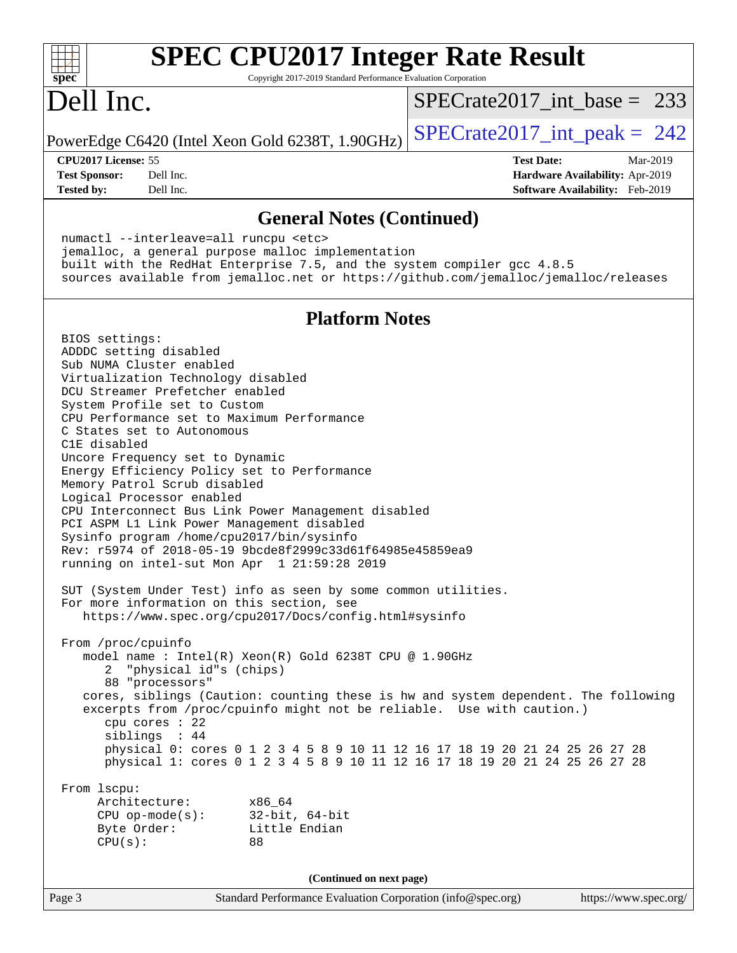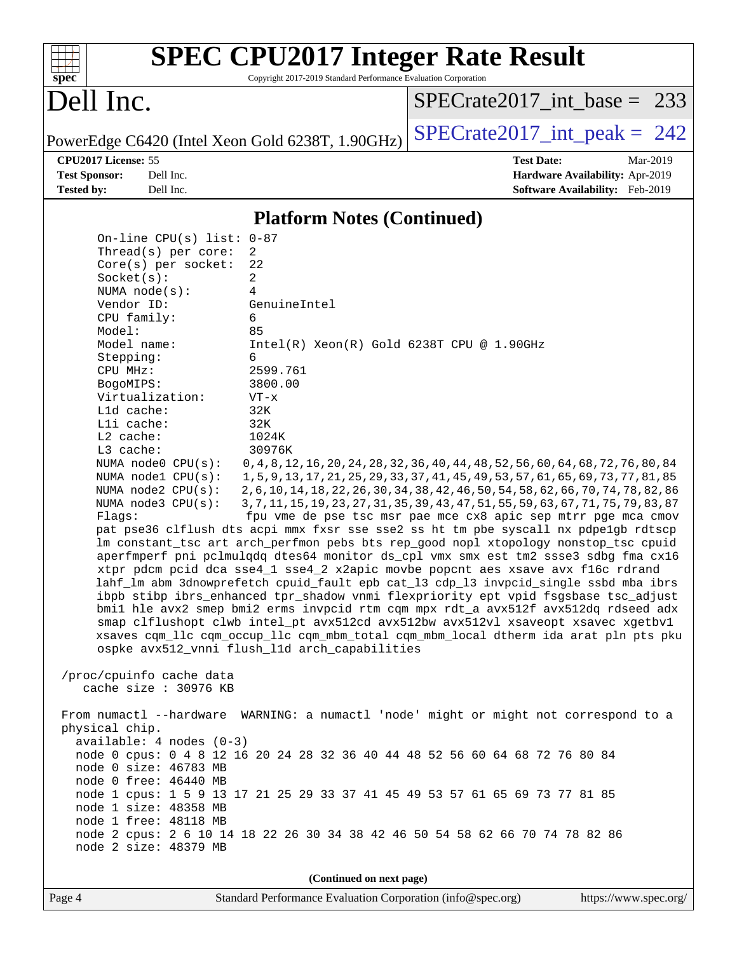| s<br>E<br>n<br>¢<br>÷, |  |  |  |  |  |
|------------------------|--|--|--|--|--|

Copyright 2017-2019 Standard Performance Evaluation Corporation

## Dell Inc.

[SPECrate2017\\_int\\_base =](http://www.spec.org/auto/cpu2017/Docs/result-fields.html#SPECrate2017intbase) 233

PowerEdge C6420 (Intel Xeon Gold 6238T, 1.90GHz)  $\left|$  [SPECrate2017\\_int\\_peak =](http://www.spec.org/auto/cpu2017/Docs/result-fields.html#SPECrate2017intpeak) 242

**[CPU2017 License:](http://www.spec.org/auto/cpu2017/Docs/result-fields.html#CPU2017License)** 55 **[Test Date:](http://www.spec.org/auto/cpu2017/Docs/result-fields.html#TestDate)** Mar-2019 **[Test Sponsor:](http://www.spec.org/auto/cpu2017/Docs/result-fields.html#TestSponsor)** Dell Inc. **[Hardware Availability:](http://www.spec.org/auto/cpu2017/Docs/result-fields.html#HardwareAvailability)** Apr-2019 **[Tested by:](http://www.spec.org/auto/cpu2017/Docs/result-fields.html#Testedby)** Dell Inc. **[Software Availability:](http://www.spec.org/auto/cpu2017/Docs/result-fields.html#SoftwareAvailability)** Feb-2019

#### **[Platform Notes \(Continued\)](http://www.spec.org/auto/cpu2017/Docs/result-fields.html#PlatformNotes)**

 On-line CPU(s) list: 0-87 Thread(s) per core: 2 Core(s) per socket: 22 Socket(s): 2 NUMA node(s): 4 Vendor ID: GenuineIntel CPU family: 6 Model: 85 Model name: Intel(R) Xeon(R) Gold 6238T CPU @ 1.90GHz Stepping: 6 CPU MHz: 2599.761 BogoMIPS: 3800.00 Virtualization: VT-x L1d cache: 32K L1i cache: 32K L2 cache: 1024K L3 cache: 30976K NUMA node0 CPU(s): 0,4,8,12,16,20,24,28,32,36,40,44,48,52,56,60,64,68,72,76,80,84 NUMA node1 CPU(s): 1,5,9,13,17,21,25,29,33,37,41,45,49,53,57,61,65,69,73,77,81,85 NUMA node2 CPU(s): 2,6,10,14,18,22,26,30,34,38,42,46,50,54,58,62,66,70,74,78,82,86 NUMA node3 CPU(s): 3,7,11,15,19,23,27,31,35,39,43,47,51,55,59,63,67,71,75,79,83,87 Flags: fpu vme de pse tsc msr pae mce cx8 apic sep mtrr pge mca cmov pat pse36 clflush dts acpi mmx fxsr sse sse2 ss ht tm pbe syscall nx pdpe1gb rdtscp lm constant\_tsc art arch\_perfmon pebs bts rep\_good nopl xtopology nonstop\_tsc cpuid aperfmperf pni pclmulqdq dtes64 monitor ds\_cpl vmx smx est tm2 ssse3 sdbg fma cx16 xtpr pdcm pcid dca sse4\_1 sse4\_2 x2apic movbe popcnt aes xsave avx f16c rdrand lahf\_lm abm 3dnowprefetch cpuid\_fault epb cat\_l3 cdp\_l3 invpcid\_single ssbd mba ibrs ibpb stibp ibrs\_enhanced tpr\_shadow vnmi flexpriority ept vpid fsgsbase tsc\_adjust bmi1 hle avx2 smep bmi2 erms invpcid rtm cqm mpx rdt\_a avx512f avx512dq rdseed adx smap clflushopt clwb intel\_pt avx512cd avx512bw avx512vl xsaveopt xsavec xgetbv1 xsaves cqm\_llc cqm\_occup\_llc cqm\_mbm\_total cqm\_mbm\_local dtherm ida arat pln pts pku ospke avx512\_vnni flush\_l1d arch\_capabilities /proc/cpuinfo cache data cache size : 30976 KB From numactl --hardware WARNING: a numactl 'node' might or might not correspond to a physical chip. available: 4 nodes (0-3) node 0 cpus: 0 4 8 12 16 20 24 28 32 36 40 44 48 52 56 60 64 68 72 76 80 84 node 0 size: 46783 MB node 0 free: 46440 MB node 1 cpus: 1 5 9 13 17 21 25 29 33 37 41 45 49 53 57 61 65 69 73 77 81 85 node 1 size: 48358 MB node 1 free: 48118 MB node 2 cpus: 2 6 10 14 18 22 26 30 34 38 42 46 50 54 58 62 66 70 74 78 82 86 node 2 size: 48379 MB

**(Continued on next page)**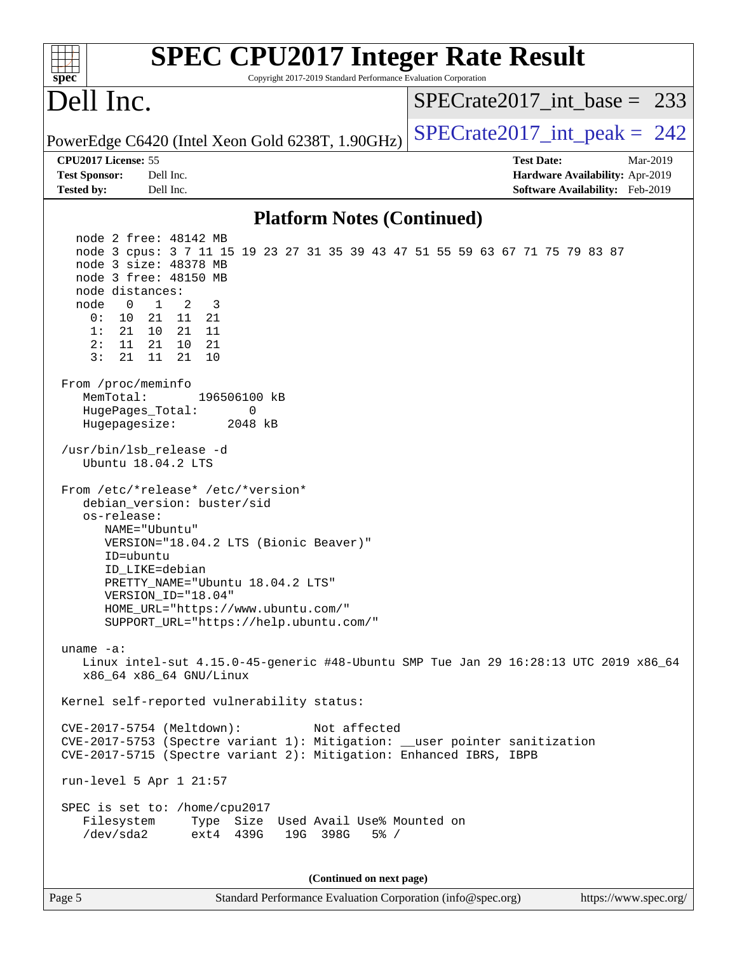| <b>SPEC CPU2017 Integer Rate Result</b><br>Copyright 2017-2019 Standard Performance Evaluation Corporation<br>spec <sup>®</sup>                                                                                                                                                                                                                                                                         |                                                                                                     |
|---------------------------------------------------------------------------------------------------------------------------------------------------------------------------------------------------------------------------------------------------------------------------------------------------------------------------------------------------------------------------------------------------------|-----------------------------------------------------------------------------------------------------|
| Dell Inc.                                                                                                                                                                                                                                                                                                                                                                                               | $SPECrate2017\_int\_base = 233$                                                                     |
| PowerEdge C6420 (Intel Xeon Gold 6238T, 1.90GHz)                                                                                                                                                                                                                                                                                                                                                        | $SPECrate2017\_int\_peak = 242$                                                                     |
| CPU2017 License: 55<br>Dell Inc.<br><b>Test Sponsor:</b><br>Dell Inc.<br><b>Tested by:</b>                                                                                                                                                                                                                                                                                                              | <b>Test Date:</b><br>Mar-2019<br>Hardware Availability: Apr-2019<br>Software Availability: Feb-2019 |
| <b>Platform Notes (Continued)</b>                                                                                                                                                                                                                                                                                                                                                                       |                                                                                                     |
| node 2 free: 48142 MB<br>node 3 cpus: 3 7 11 15 19 23 27 31 35 39 43 47 51 55 59 63 67 71 75 79 83 87<br>node 3 size: 48378 MB<br>node 3 free: 48150 MB<br>node distances:<br>2<br>3<br>node<br>$\overline{0}$<br>$\overline{1}$<br>0:<br>10<br>21 11 21<br>1:<br>21<br>10<br>21<br>- 11<br>2:<br>11<br>21<br>10<br>21<br>3:<br>21<br>10<br>11<br>21<br>From /proc/meminfo<br>MemTotal:<br>196506100 kB |                                                                                                     |
| HugePages_Total:<br>0<br>Hugepagesize:<br>2048 kB<br>/usr/bin/lsb_release -d<br>Ubuntu 18.04.2 LTS                                                                                                                                                                                                                                                                                                      |                                                                                                     |
| From /etc/*release* /etc/*version*<br>debian_version: buster/sid<br>os-release:<br>NAME="Ubuntu"<br>VERSION="18.04.2 LTS (Bionic Beaver)"<br>ID=ubuntu<br>ID_LIKE=debian<br>PRETTY_NAME="Ubuntu 18.04.2 LTS"<br>VERSION_ID="18.04"<br>HOME_URL="https://www.ubuntu.com/"<br>SUPPORT_URL="https://help.ubuntu.com/"                                                                                      |                                                                                                     |
| uname $-a$ :<br>Linux intel-sut 4.15.0-45-generic #48-Ubuntu SMP Tue Jan 29 16:28:13 UTC 2019 x86_64<br>x86_64 x86_64 GNU/Linux                                                                                                                                                                                                                                                                         |                                                                                                     |
| Kernel self-reported vulnerability status:                                                                                                                                                                                                                                                                                                                                                              |                                                                                                     |
| CVE-2017-5754 (Meltdown):<br>Not affected<br>CVE-2017-5753 (Spectre variant 1): Mitigation: __user pointer sanitization<br>CVE-2017-5715 (Spectre variant 2): Mitigation: Enhanced IBRS, IBPB                                                                                                                                                                                                           |                                                                                                     |
| run-level 5 Apr 1 21:57<br>SPEC is set to: /home/cpu2017<br>Filesystem<br>Type Size Used Avail Use% Mounted on<br>/dev/sda2<br>ext4 439G<br>19G 398G<br>$5\%$ /                                                                                                                                                                                                                                         |                                                                                                     |
| (Continued on next page)                                                                                                                                                                                                                                                                                                                                                                                |                                                                                                     |
| Page 5<br>Standard Performance Evaluation Corporation (info@spec.org)                                                                                                                                                                                                                                                                                                                                   | https://www.spec.org/                                                                               |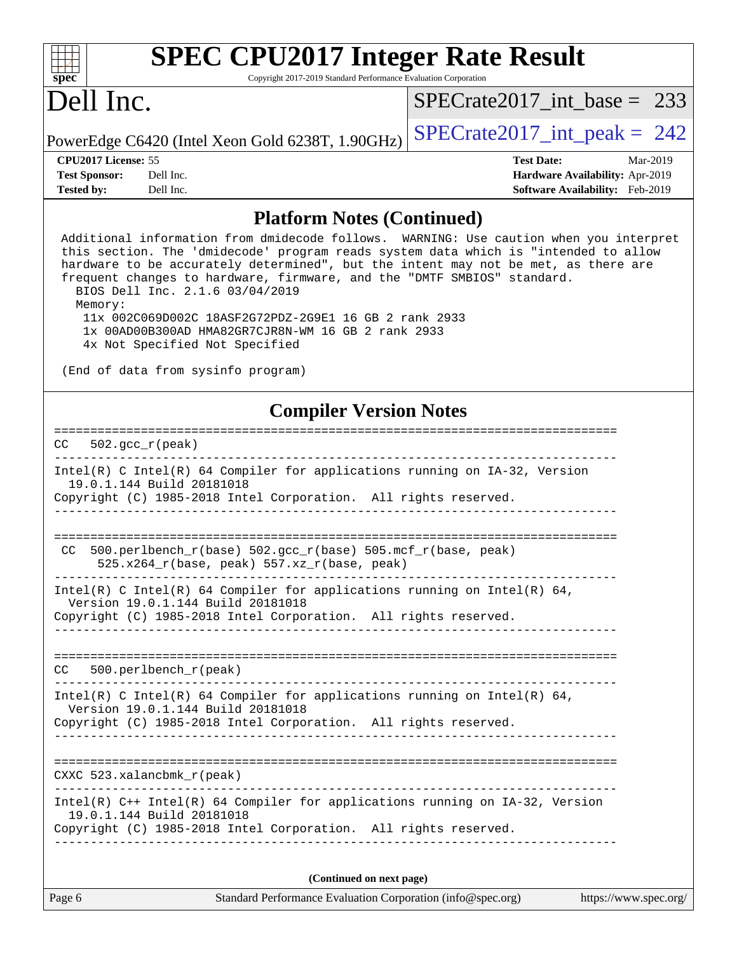| ę,<br>æ<br>Ш<br>Ľ |  |  |  |  |  |
|-------------------|--|--|--|--|--|

Copyright 2017-2019 Standard Performance Evaluation Corporation

# Dell Inc.

[SPECrate2017\\_int\\_base =](http://www.spec.org/auto/cpu2017/Docs/result-fields.html#SPECrate2017intbase) 233

PowerEdge C6420 (Intel Xeon Gold 6238T, 1.90GHz)  $\left|$  [SPECrate2017\\_int\\_peak =](http://www.spec.org/auto/cpu2017/Docs/result-fields.html#SPECrate2017intpeak) 242

**[Tested by:](http://www.spec.org/auto/cpu2017/Docs/result-fields.html#Testedby)** Dell Inc. **[Software Availability:](http://www.spec.org/auto/cpu2017/Docs/result-fields.html#SoftwareAvailability)** Feb-2019

**[CPU2017 License:](http://www.spec.org/auto/cpu2017/Docs/result-fields.html#CPU2017License)** 55 **[Test Date:](http://www.spec.org/auto/cpu2017/Docs/result-fields.html#TestDate)** Mar-2019 **[Test Sponsor:](http://www.spec.org/auto/cpu2017/Docs/result-fields.html#TestSponsor)** Dell Inc. **[Hardware Availability:](http://www.spec.org/auto/cpu2017/Docs/result-fields.html#HardwareAvailability)** Apr-2019

#### **[Platform Notes \(Continued\)](http://www.spec.org/auto/cpu2017/Docs/result-fields.html#PlatformNotes)**

| $\blacksquare$ introduced (continued)                                                                                                                                                                                                                                                                                                                                                                                                                                                                                                                                               |                       |
|-------------------------------------------------------------------------------------------------------------------------------------------------------------------------------------------------------------------------------------------------------------------------------------------------------------------------------------------------------------------------------------------------------------------------------------------------------------------------------------------------------------------------------------------------------------------------------------|-----------------------|
| Additional information from dmidecode follows. WARNING: Use caution when you interpret<br>this section. The 'dmidecode' program reads system data which is "intended to allow<br>hardware to be accurately determined", but the intent may not be met, as there are<br>frequent changes to hardware, firmware, and the "DMTF SMBIOS" standard.<br>BIOS Dell Inc. 2.1.6 03/04/2019<br>Memory:<br>11x 002C069D002C 18ASF2G72PDZ-2G9E1 16 GB 2 rank 2933<br>1x 00AD00B300AD HMA82GR7CJR8N-WM 16 GB 2 rank 2933<br>4x Not Specified Not Specified<br>(End of data from sysinfo program) |                       |
| <b>Compiler Version Notes</b>                                                                                                                                                                                                                                                                                                                                                                                                                                                                                                                                                       |                       |
| $502.$ gcc_r(peak)<br>CC.                                                                                                                                                                                                                                                                                                                                                                                                                                                                                                                                                           |                       |
| Intel(R) C Intel(R) 64 Compiler for applications running on IA-32, Version<br>19.0.1.144 Build 20181018                                                                                                                                                                                                                                                                                                                                                                                                                                                                             |                       |
| Copyright (C) 1985-2018 Intel Corporation. All rights reserved.                                                                                                                                                                                                                                                                                                                                                                                                                                                                                                                     |                       |
| $500. perlbench_r(base) 502. gcc_r(base) 505.mcf_r(base, peak)$<br>CC.<br>$525.x264_r(base, peak) 557.xz_r(base, peak)$                                                                                                                                                                                                                                                                                                                                                                                                                                                             |                       |
| Intel(R) C Intel(R) 64 Compiler for applications running on Intel(R) 64,<br>Version 19.0.1.144 Build 20181018<br>Copyright (C) 1985-2018 Intel Corporation. All rights reserved.                                                                                                                                                                                                                                                                                                                                                                                                    |                       |
| 500.perlbench_r(peak)<br>CC                                                                                                                                                                                                                                                                                                                                                                                                                                                                                                                                                         |                       |
| Intel(R) C Intel(R) 64 Compiler for applications running on Intel(R) 64,<br>Version 19.0.1.144 Build 20181018<br>Copyright (C) 1985-2018 Intel Corporation. All rights reserved.                                                                                                                                                                                                                                                                                                                                                                                                    |                       |
| CXXC 523.xalancbmk_r(peak)                                                                                                                                                                                                                                                                                                                                                                                                                                                                                                                                                          |                       |
| $Intel(R)$ C++ Intel(R) 64 Compiler for applications running on IA-32, Version<br>19.0.1.144 Build 20181018<br>Copyright (C) 1985-2018 Intel Corporation. All rights reserved.                                                                                                                                                                                                                                                                                                                                                                                                      |                       |
| (Continued on next page)                                                                                                                                                                                                                                                                                                                                                                                                                                                                                                                                                            |                       |
| Standard Performance Evaluation Corporation (info@spec.org)<br>Page 6                                                                                                                                                                                                                                                                                                                                                                                                                                                                                                               | https://www.spec.org/ |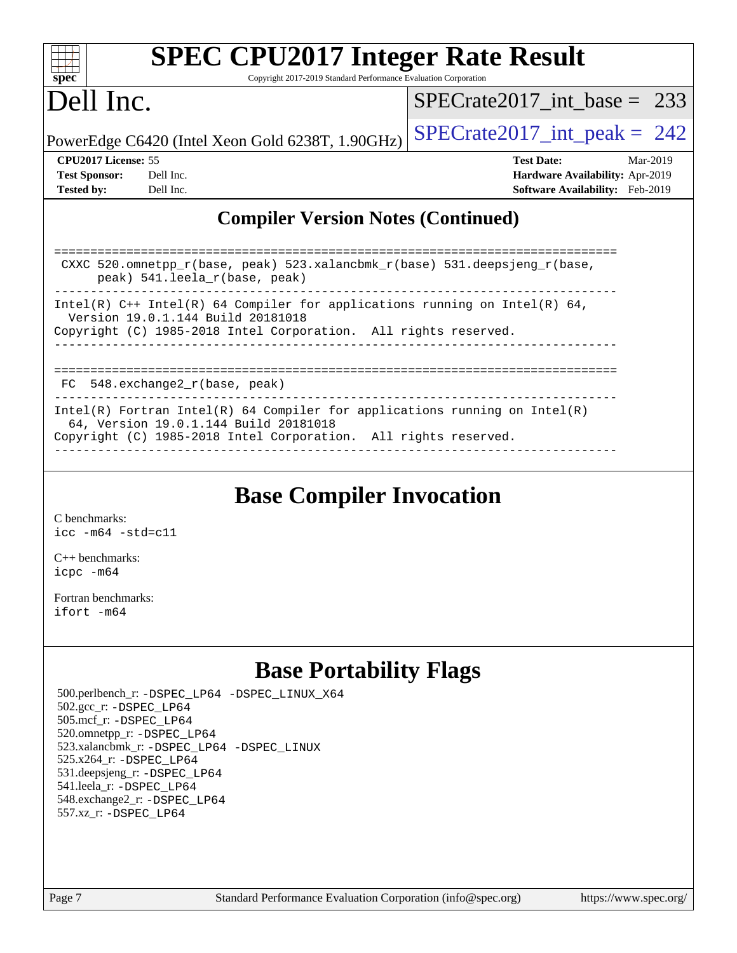|                                                                                                                     | <b>SPEC CPU2017 Integer Rate Result</b>                         |                                 |                                        |  |  |
|---------------------------------------------------------------------------------------------------------------------|-----------------------------------------------------------------|---------------------------------|----------------------------------------|--|--|
| $spec^*$                                                                                                            | Copyright 2017-2019 Standard Performance Evaluation Corporation |                                 |                                        |  |  |
| Dell Inc.                                                                                                           |                                                                 | $SPECrate2017$ int base = 233   |                                        |  |  |
|                                                                                                                     | PowerEdge C6420 (Intel Xeon Gold 6238T, 1.90GHz)                | $SPECrate2017\_int\_peak = 242$ |                                        |  |  |
| <b>CPU2017 License: 55</b>                                                                                          |                                                                 | <b>Test Date:</b>               | Mar-2019                               |  |  |
| <b>Test Sponsor:</b>                                                                                                | Dell Inc.                                                       |                                 | <b>Hardware Availability: Apr-2019</b> |  |  |
| <b>Tested by:</b>                                                                                                   | Dell Inc.                                                       |                                 | <b>Software Availability:</b> Feb-2019 |  |  |
| <b>Compiler Version Notes (Continued)</b>                                                                           |                                                                 |                                 |                                        |  |  |
| CXXC 520.omnetpp $r(base, peak)$ 523.xalancbmk $r(base)$ 531.deepsjeng $r(base)$ ,<br>peak) 541.leela_r(base, peak) |                                                                 |                                 |                                        |  |  |
| Intel(R) $C++$ Intel(R) 64 Compiler for applications running on Intel(R) 64,<br>Version 19.0.1.144 Build 20181018   |                                                                 |                                 |                                        |  |  |

Copyright (C) 1985-2018 Intel Corporation. All rights reserved. ------------------------------------------------------------------------------

| FC 548.exchange2 r(base, peak)                                                                                      |
|---------------------------------------------------------------------------------------------------------------------|
| Intel(R) Fortran Intel(R) 64 Compiler for applications running on Intel(R)<br>64, Version 19.0.1.144 Build 20181018 |
| Copyright (C) 1985-2018 Intel Corporation. All rights reserved.                                                     |

### **[Base Compiler Invocation](http://www.spec.org/auto/cpu2017/Docs/result-fields.html#BaseCompilerInvocation)**

[C benchmarks](http://www.spec.org/auto/cpu2017/Docs/result-fields.html#Cbenchmarks): [icc -m64 -std=c11](http://www.spec.org/cpu2017/results/res2019q2/cpu2017-20190513-13599.flags.html#user_CCbase_intel_icc_64bit_c11_33ee0cdaae7deeeab2a9725423ba97205ce30f63b9926c2519791662299b76a0318f32ddfffdc46587804de3178b4f9328c46fa7c2b0cd779d7a61945c91cd35)

[C++ benchmarks:](http://www.spec.org/auto/cpu2017/Docs/result-fields.html#CXXbenchmarks) [icpc -m64](http://www.spec.org/cpu2017/results/res2019q2/cpu2017-20190513-13599.flags.html#user_CXXbase_intel_icpc_64bit_4ecb2543ae3f1412ef961e0650ca070fec7b7afdcd6ed48761b84423119d1bf6bdf5cad15b44d48e7256388bc77273b966e5eb805aefd121eb22e9299b2ec9d9)

[Fortran benchmarks](http://www.spec.org/auto/cpu2017/Docs/result-fields.html#Fortranbenchmarks): [ifort -m64](http://www.spec.org/cpu2017/results/res2019q2/cpu2017-20190513-13599.flags.html#user_FCbase_intel_ifort_64bit_24f2bb282fbaeffd6157abe4f878425411749daecae9a33200eee2bee2fe76f3b89351d69a8130dd5949958ce389cf37ff59a95e7a40d588e8d3a57e0c3fd751)

## **[Base Portability Flags](http://www.spec.org/auto/cpu2017/Docs/result-fields.html#BasePortabilityFlags)**

 500.perlbench\_r: [-DSPEC\\_LP64](http://www.spec.org/cpu2017/results/res2019q2/cpu2017-20190513-13599.flags.html#b500.perlbench_r_basePORTABILITY_DSPEC_LP64) [-DSPEC\\_LINUX\\_X64](http://www.spec.org/cpu2017/results/res2019q2/cpu2017-20190513-13599.flags.html#b500.perlbench_r_baseCPORTABILITY_DSPEC_LINUX_X64) 502.gcc\_r: [-DSPEC\\_LP64](http://www.spec.org/cpu2017/results/res2019q2/cpu2017-20190513-13599.flags.html#suite_basePORTABILITY502_gcc_r_DSPEC_LP64) 505.mcf\_r: [-DSPEC\\_LP64](http://www.spec.org/cpu2017/results/res2019q2/cpu2017-20190513-13599.flags.html#suite_basePORTABILITY505_mcf_r_DSPEC_LP64) 520.omnetpp\_r: [-DSPEC\\_LP64](http://www.spec.org/cpu2017/results/res2019q2/cpu2017-20190513-13599.flags.html#suite_basePORTABILITY520_omnetpp_r_DSPEC_LP64) 523.xalancbmk\_r: [-DSPEC\\_LP64](http://www.spec.org/cpu2017/results/res2019q2/cpu2017-20190513-13599.flags.html#suite_basePORTABILITY523_xalancbmk_r_DSPEC_LP64) [-DSPEC\\_LINUX](http://www.spec.org/cpu2017/results/res2019q2/cpu2017-20190513-13599.flags.html#b523.xalancbmk_r_baseCXXPORTABILITY_DSPEC_LINUX) 525.x264\_r: [-DSPEC\\_LP64](http://www.spec.org/cpu2017/results/res2019q2/cpu2017-20190513-13599.flags.html#suite_basePORTABILITY525_x264_r_DSPEC_LP64) 531.deepsjeng\_r: [-DSPEC\\_LP64](http://www.spec.org/cpu2017/results/res2019q2/cpu2017-20190513-13599.flags.html#suite_basePORTABILITY531_deepsjeng_r_DSPEC_LP64) 541.leela\_r: [-DSPEC\\_LP64](http://www.spec.org/cpu2017/results/res2019q2/cpu2017-20190513-13599.flags.html#suite_basePORTABILITY541_leela_r_DSPEC_LP64) 548.exchange2\_r: [-DSPEC\\_LP64](http://www.spec.org/cpu2017/results/res2019q2/cpu2017-20190513-13599.flags.html#suite_basePORTABILITY548_exchange2_r_DSPEC_LP64) 557.xz\_r: [-DSPEC\\_LP64](http://www.spec.org/cpu2017/results/res2019q2/cpu2017-20190513-13599.flags.html#suite_basePORTABILITY557_xz_r_DSPEC_LP64)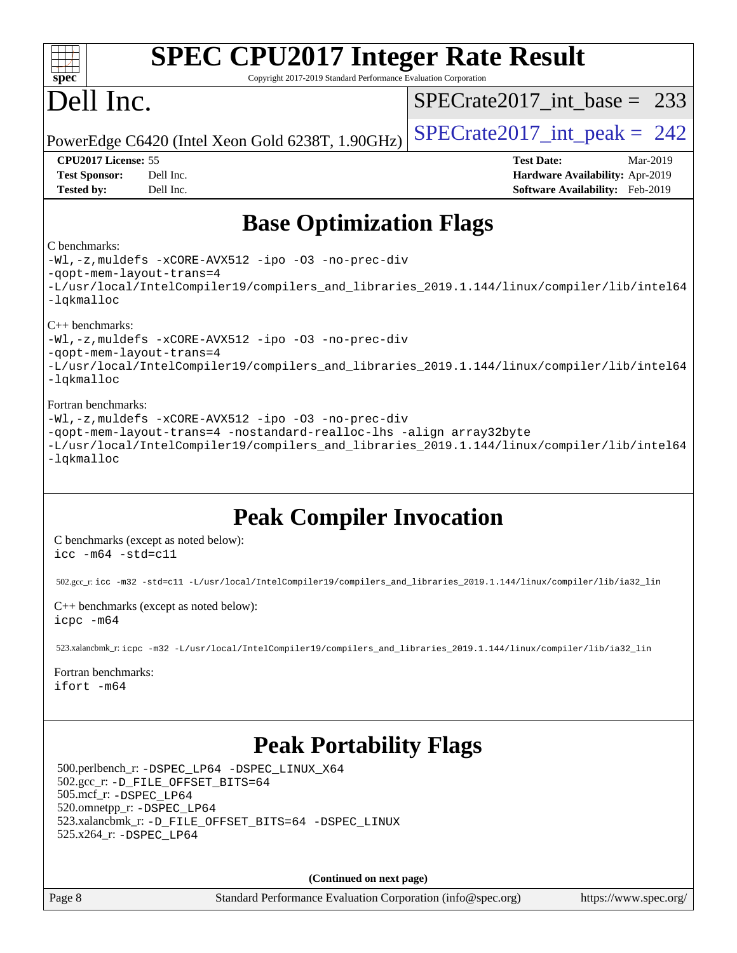| $spec^*$                                                                         | <b>SPEC CPU2017 Integer Rate Result</b><br>Copyright 2017-2019 Standard Performance Evaluation Corporation                                                                  |                                                                                                     |
|----------------------------------------------------------------------------------|-----------------------------------------------------------------------------------------------------------------------------------------------------------------------------|-----------------------------------------------------------------------------------------------------|
| Dell Inc.                                                                        |                                                                                                                                                                             | $SPECrate2017\_int\_base = 233$                                                                     |
|                                                                                  | PowerEdge C6420 (Intel Xeon Gold 6238T, 1.90GHz)                                                                                                                            | $SPECTate2017$ _int_peak = 242                                                                      |
| CPU2017 License: 55<br><b>Test Sponsor:</b><br><b>Tested by:</b>                 | Dell Inc.<br>Dell Inc.                                                                                                                                                      | <b>Test Date:</b><br>Mar-2019<br>Hardware Availability: Apr-2019<br>Software Availability: Feb-2019 |
|                                                                                  | <b>Base Optimization Flags</b>                                                                                                                                              |                                                                                                     |
| C benchmarks:<br>-qopt-mem-layout-trans=4<br>$-lq$ kmalloc                       | -Wl,-z, muldefs -xCORE-AVX512 -ipo -03 -no-prec-div                                                                                                                         | -L/usr/local/IntelCompiler19/compilers_and_libraries_2019.1.144/linux/compiler/lib/intel64          |
| $C++$ benchmarks:<br>-gopt-mem-layout-trans=4<br>-lqkmalloc                      | -Wl,-z, muldefs -xCORE-AVX512 -ipo -03 -no-prec-div                                                                                                                         | -L/usr/local/IntelCompiler19/compilers_and_libraries_2019.1.144/linux/compiler/lib/intel64          |
| Fortran benchmarks:<br>-lqkmalloc                                                | -Wl,-z, muldefs -xCORE-AVX512 -ipo -03 -no-prec-div<br>-qopt-mem-layout-trans=4 -nostandard-realloc-lhs -align array32byte                                                  | -L/usr/local/IntelCompiler19/compilers_and_libraries_2019.1.144/linux/compiler/lib/intel64          |
| $\texttt{icc -m64 -std=cl1}$                                                     | <b>Peak Compiler Invocation</b><br>C benchmarks (except as noted below):                                                                                                    |                                                                                                     |
|                                                                                  | 502.gcc_r: icc -m32 -std=c11 -L/usr/local/IntelCompiler19/compilers_and_libraries_2019.1.144/linux/compiler/lib/ia32_lin                                                    |                                                                                                     |
| icpc -m64                                                                        | C++ benchmarks (except as noted below):                                                                                                                                     |                                                                                                     |
|                                                                                  | 523.xalancbmk_r: icpc -m32 -L/usr/local/IntelCompiler19/compilers_and_libraries_2019.1.144/linux/compiler/lib/ia32_lin                                                      |                                                                                                     |
| Fortran benchmarks:<br>ifort -m64                                                |                                                                                                                                                                             |                                                                                                     |
| 505.mcf_r: -DSPEC_LP64<br>520.omnetpp_r: -DSPEC_LP64<br>525.x264_r: - DSPEC_LP64 | <b>Peak Portability Flags</b><br>500.perlbench_r: -DSPEC_LP64 -DSPEC_LINUX_X64<br>502.gcc_r: -D_FILE_OFFSET_BITS=64<br>523.xalancbmk_r: -D_FILE_OFFSET_BITS=64 -DSPEC_LINUX |                                                                                                     |
|                                                                                  | (Continued on next page)                                                                                                                                                    |                                                                                                     |
| Page 8                                                                           | Standard Performance Evaluation Corporation (info@spec.org)                                                                                                                 | https://www.spec.org/                                                                               |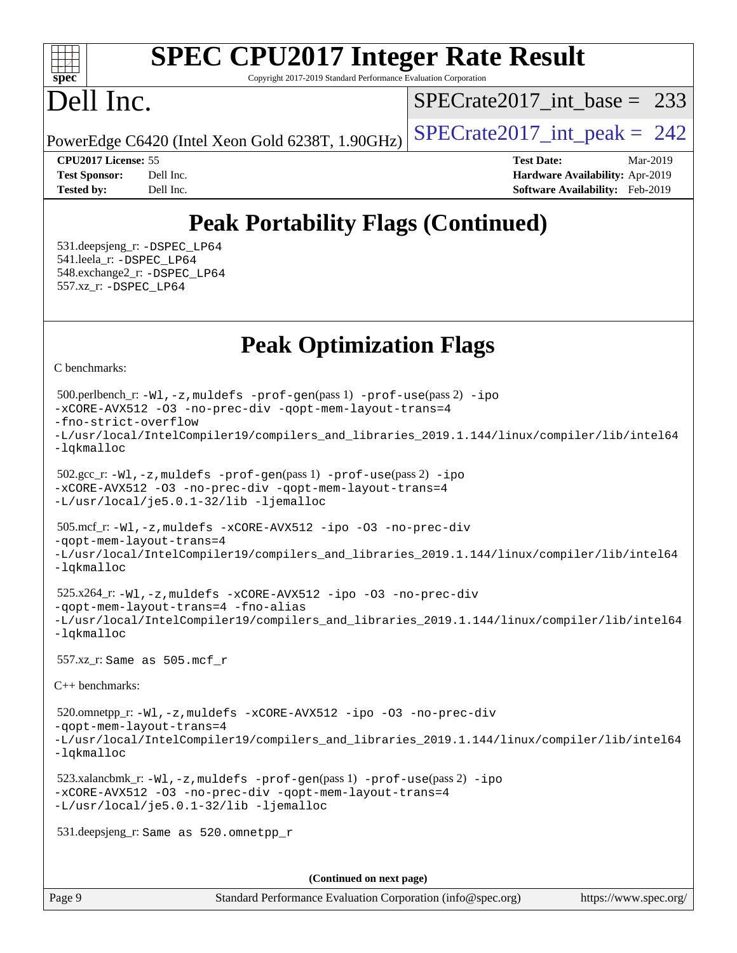#### $+\ +$ **[spec](http://www.spec.org/)**

# **[SPEC CPU2017 Integer Rate Result](http://www.spec.org/auto/cpu2017/Docs/result-fields.html#SPECCPU2017IntegerRateResult)**

Copyright 2017-2019 Standard Performance Evaluation Corporation

## Dell Inc.

[SPECrate2017\\_int\\_base =](http://www.spec.org/auto/cpu2017/Docs/result-fields.html#SPECrate2017intbase) 233

PowerEdge C6420 (Intel Xeon Gold 6238T, 1.90GHz)  $\left|$  [SPECrate2017\\_int\\_peak =](http://www.spec.org/auto/cpu2017/Docs/result-fields.html#SPECrate2017intpeak) 242

**[CPU2017 License:](http://www.spec.org/auto/cpu2017/Docs/result-fields.html#CPU2017License)** 55 **[Test Date:](http://www.spec.org/auto/cpu2017/Docs/result-fields.html#TestDate)** Mar-2019 **[Test Sponsor:](http://www.spec.org/auto/cpu2017/Docs/result-fields.html#TestSponsor)** Dell Inc. **[Hardware Availability:](http://www.spec.org/auto/cpu2017/Docs/result-fields.html#HardwareAvailability)** Apr-2019 **[Tested by:](http://www.spec.org/auto/cpu2017/Docs/result-fields.html#Testedby)** Dell Inc. **[Software Availability:](http://www.spec.org/auto/cpu2017/Docs/result-fields.html#SoftwareAvailability)** Feb-2019

## **[Peak Portability Flags \(Continued\)](http://www.spec.org/auto/cpu2017/Docs/result-fields.html#PeakPortabilityFlags)**

 531.deepsjeng\_r: [-DSPEC\\_LP64](http://www.spec.org/cpu2017/results/res2019q2/cpu2017-20190513-13599.flags.html#suite_peakPORTABILITY531_deepsjeng_r_DSPEC_LP64) 541.leela\_r: [-DSPEC\\_LP64](http://www.spec.org/cpu2017/results/res2019q2/cpu2017-20190513-13599.flags.html#suite_peakPORTABILITY541_leela_r_DSPEC_LP64) 548.exchange2\_r: [-DSPEC\\_LP64](http://www.spec.org/cpu2017/results/res2019q2/cpu2017-20190513-13599.flags.html#suite_peakPORTABILITY548_exchange2_r_DSPEC_LP64) 557.xz\_r: [-DSPEC\\_LP64](http://www.spec.org/cpu2017/results/res2019q2/cpu2017-20190513-13599.flags.html#suite_peakPORTABILITY557_xz_r_DSPEC_LP64)

## **[Peak Optimization Flags](http://www.spec.org/auto/cpu2017/Docs/result-fields.html#PeakOptimizationFlags)**

[C benchmarks](http://www.spec.org/auto/cpu2017/Docs/result-fields.html#Cbenchmarks):

```
(info@spec.org)https://www.spec.org/
  500.perlbench_r: -Wl,-z,muldefs -prof-gen(pass 1) -prof-use(pass 2) -ipo
-xCORE-AVX512 -O3 -no-prec-div -qopt-mem-layout-trans=4
-fno-strict-overflow
-L/usr/local/IntelCompiler19/compilers_and_libraries_2019.1.144/linux/compiler/lib/intel64
-lqkmalloc
  502.gcc_r: -Wl,-z,muldefs -prof-gen(pass 1) -prof-use(pass 2) -ipo
-xCORE-AVX512 -O3 -no-prec-div -qopt-mem-layout-trans=4
-L/usr/local/je5.0.1-32/lib -ljemalloc
  505.mcf_r: -Wl,-z,muldefs -xCORE-AVX512 -ipo -O3 -no-prec-div
-qopt-mem-layout-trans=4
-L/usr/local/IntelCompiler19/compilers_and_libraries_2019.1.144/linux/compiler/lib/intel64
-lqkmalloc
  525.x264_r: -Wl,-z,muldefs -xCORE-AVX512 -ipo -O3 -no-prec-div
-qopt-mem-layout-trans=4 -fno-alias
-L/usr/local/IntelCompiler19/compilers_and_libraries_2019.1.144/linux/compiler/lib/intel64
-lqkmalloc
  557.xz_r: Same as 505.mcf_r
C++ benchmarks: 
  520.omnetpp_r: -Wl,-z,muldefs -xCORE-AVX512 -ipo -O3 -no-prec-div
-qopt-mem-layout-trans=4
-L/usr/local/IntelCompiler19/compilers_and_libraries_2019.1.144/linux/compiler/lib/intel64
-lqkmalloc
  523.xalancbmk_r: -Wl,-z,muldefs -prof-gen(pass 1) -prof-use(pass 2) -ipo
-xCORE-AVX512 -O3 -no-prec-div -qopt-mem-layout-trans=4
-L/usr/local/je5.0.1-32/lib -ljemalloc
  531.deepsjeng_r: Same as 520.omnetpp_r
                                     (Continued on next page)
```